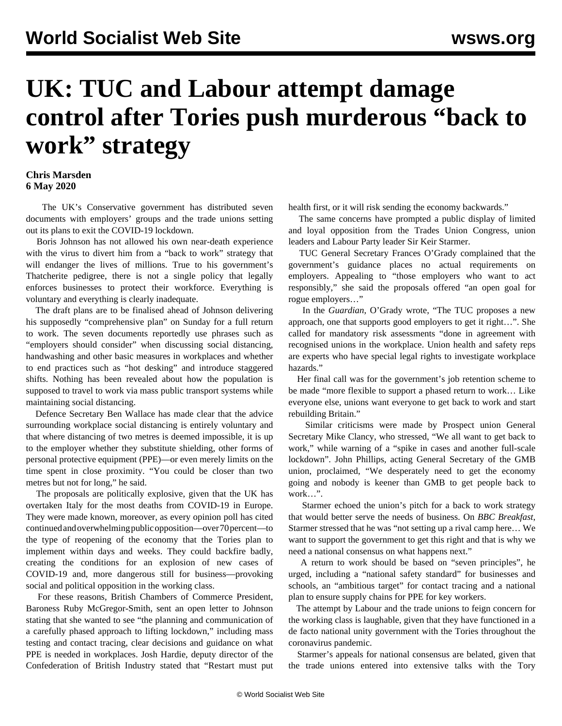## **UK: TUC and Labour attempt damage control after Tories push murderous "back to work" strategy**

## **Chris Marsden 6 May 2020**

 The UK's Conservative government has distributed seven documents with employers' groups and the trade unions setting out its plans to exit the COVID-19 lockdown.

 Boris Johnson has not allowed his own near-death experience with the virus to divert him from a "back to work" strategy that will endanger the lives of millions. True to his government's Thatcherite pedigree, there is not a single policy that legally enforces businesses to protect their workforce. Everything is voluntary and everything is clearly inadequate.

 The draft plans are to be finalised ahead of Johnson delivering his supposedly "comprehensive plan" on Sunday for a full return to work. The seven documents reportedly use phrases such as "employers should consider" when discussing social distancing, handwashing and other basic measures in workplaces and whether to end practices such as "hot desking" and introduce staggered shifts. Nothing has been revealed about how the population is supposed to travel to work via mass public transport systems while maintaining social distancing.

 Defence Secretary Ben Wallace has made clear that the advice surrounding workplace social distancing is entirely voluntary and that where distancing of two metres is deemed impossible, it is up to the employer whether they substitute shielding, other forms of personal protective equipment (PPE)—or even merely limits on the time spent in close proximity. "You could be closer than two metres but not for long," he said.

 The proposals are politically explosive, given that the UK has overtaken Italy for the most deaths from COVID-19 in Europe. They were made known, moreover, as every opinion poll has cited continued and overwhelming public opposition—over 70 percent—to the type of reopening of the economy that the Tories plan to implement within days and weeks. They could backfire badly, creating the conditions for an explosion of new cases of COVID-19 and, more dangerous still for business—provoking social and political opposition in the working class.

 For these reasons, British Chambers of Commerce President, Baroness Ruby McGregor-Smith, sent an open letter to Johnson stating that she wanted to see "the planning and communication of a carefully phased approach to lifting lockdown," including mass testing and contact tracing, clear decisions and guidance on what PPE is needed in workplaces. Josh Hardie, deputy director of the Confederation of British Industry stated that "Restart must put

health first, or it will risk sending the economy backwards."

 The same concerns have prompted a public display of limited and loyal opposition from the Trades Union Congress, union leaders and Labour Party leader Sir Keir Starmer.

 TUC General Secretary Frances O'Grady complained that the government's guidance places no actual requirements on employers. Appealing to "those employers who want to act responsibly," she said the proposals offered "an open goal for rogue employers…"

 In the *Guardian*, O'Grady wrote, "The TUC proposes a new approach, one that supports good employers to get it right…". She called for mandatory risk assessments "done in agreement with recognised unions in the workplace. Union health and safety reps are experts who have special legal rights to investigate workplace hazards."

 Her final call was for the government's job retention scheme to be made "more flexible to support a phased return to work… Like everyone else, unions want everyone to get back to work and start rebuilding Britain."

 Similar criticisms were made by Prospect union General Secretary Mike Clancy, who stressed, "We all want to get back to work," while warning of a "spike in cases and another full-scale lockdown". John Phillips, acting General Secretary of the GMB union, proclaimed, "We desperately need to get the economy going and nobody is keener than GMB to get people back to work…".

 Starmer echoed the union's pitch for a back to work strategy that would better serve the needs of business. On *BBC Breakfast*, Starmer stressed that he was "not setting up a rival camp here… We want to support the government to get this right and that is why we need a national consensus on what happens next."

 A return to work should be based on "seven principles", he urged, including a "national safety standard" for businesses and schools, an "ambitious target" for contact tracing and a national plan to ensure supply chains for PPE for key workers.

 The attempt by Labour and the trade unions to feign concern for the working class is laughable, given that they have functioned in a de facto national unity government with the Tories throughout the coronavirus pandemic.

 Starmer's appeals for national consensus are belated, given that the trade unions entered into extensive talks with the Tory